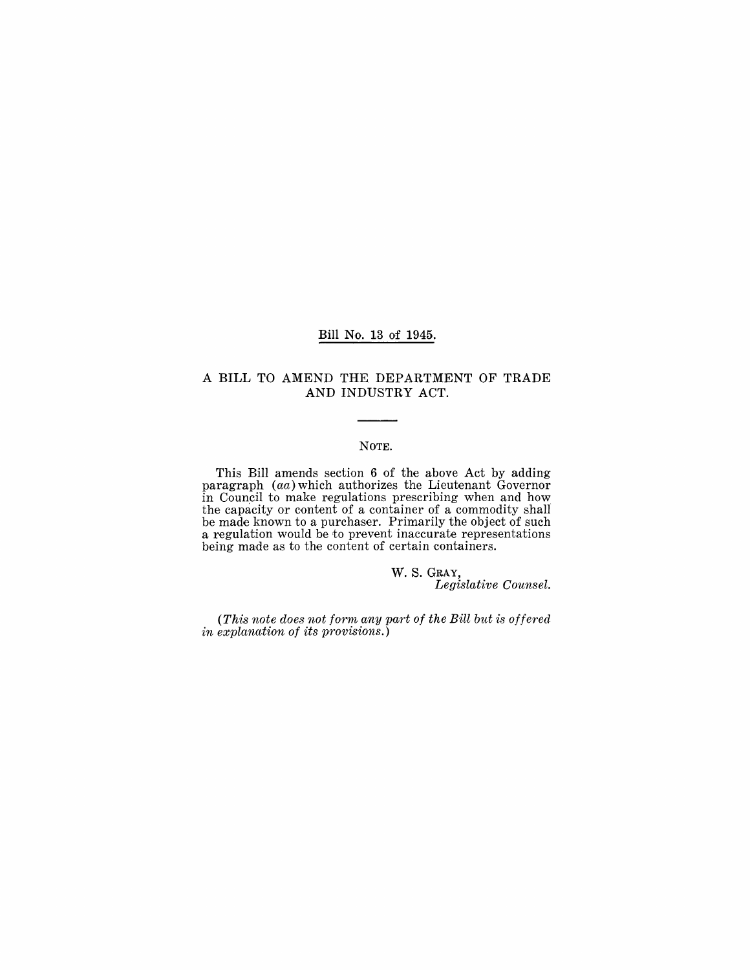#### Bill No. 13 of 1945.

#### A BILL TO AMEND THE. DEPARTMENT OF TRADE AND INDUSTRY ACT.

#### NOTE.

This Bill amends section 6 of the above Act by adding paragraph *(aa)* which authorizes the Lieutenant Governor in Council to make regulations prescribing when and how the capacity or content of a container of a commodity shall be made known to a purchaser. Primarily the object of such a regulation would be to prevent inaccurate representations being made as to the content of certain containers.

> w. S. GRAY, *Legislative Counsel.*

*(This note does not form any part of the Bill but is offered in explanation of its provisions.)*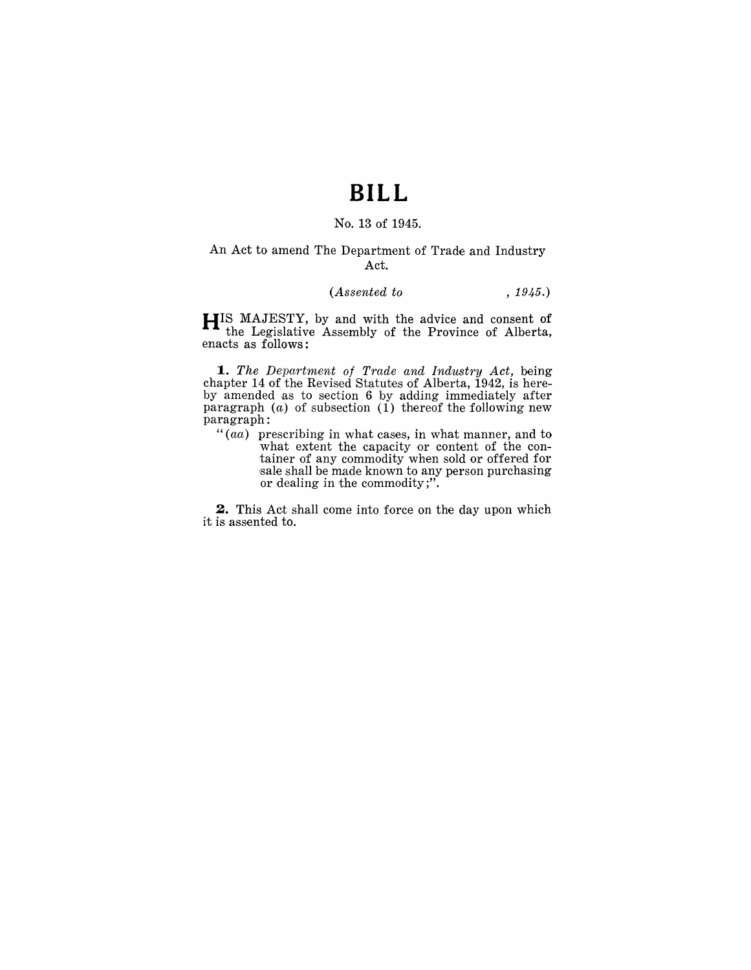## **BILL**

#### No. 13 of 1945.

An Act to amend The Department of Trade and Industry Act.

#### *(Assented to* , 1945.)

**HIS** MAJESTY, by and with the advice and consent of the Legislative Assembly of the Province of Alberta, enacts as follows:

*1. The Department of Trade and Industry Act,* being chapter 14 of the Revised Statutes of Alberta,  $1942$ , is hereby amended as to section 6 by adding immediately after paragraph  $(a)$  of subsection  $(i)$  thereof the following new paragraph:

"(aa) prescribing in what cases, in what manner, and to what extent the capacity or content of the container of any commodity when sold or offered for sale shall be made known to any person purchasing or dealing in the commodity;".

**2.** This Act shall come into force on the day upon which it is assented to.